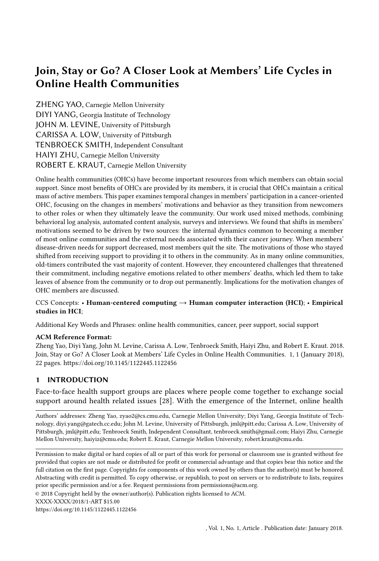# Join, Stay or Go? A Closer Look at Members' Life Cycles in Online Health Communities

ZHENG YAO, Carnegie Mellon University DIYI YANG, Georgia Institute of Technology JOHN M. LEVINE, University of Pittsburgh CARISSA A. LOW, University of Pittsburgh TENBROECK SMITH, Independent Consultant HAIYI ZHU, Carnegie Mellon University ROBERT E. KRAUT, Carnegie Mellon University

Online health communities (OHCs) have become important resources from which members can obtain social support. Since most benefits of OHCs are provided by its members, it is crucial that OHCs maintain a critical mass of active members. This paper examines temporal changes in members' participation in a cancer-oriented OHC, focusing on the changes in members' motivations and behavior as they transition from newcomers to other roles or when they ultimately leave the community. Our work used mixed methods, combining behavioral log analysis, automated content analysis, surveys and interviews. We found that shifts in members' motivations seemed to be driven by two sources: the internal dynamics common to becoming a member of most online communities and the external needs associated with their cancer journey. When members' disease-driven needs for support decreased, most members quit the site. The motivations of those who stayed shifted from receiving support to providing it to others in the community. As in many online communities, old-timers contributed the vast majority of content. However, they encountered challenges that threatened their commitment, including negative emotions related to other members' deaths, which led them to take leaves of absence from the community or to drop out permanently. Implications for the motivation changes of OHC members are discussed.

#### CCS Concepts: • Human-centered computing  $\rightarrow$  Human computer interaction (HCI); • Empirical studies in HCI;

Additional Key Words and Phrases: online health communities, cancer, peer support, social support

#### ACM Reference Format:

Zheng Yao, Diyi Yang, John M. Levine, Carissa A. Low, Tenbroeck Smith, Haiyi Zhu, and Robert E. Kraut. 2018. Join, Stay or Go? A Closer Look at Members' Life Cycles in Online Health Communities. 1, 1 (January 2018), 22 pages.<https://doi.org/10.1145/1122445.1122456>

# 1 INTRODUCTION

Face-to-face health support groups are places where people come together to exchange social support around health related issues [28]. With the emergence of the Internet, online health

Authors' addresses: Zheng Yao, zyao2@cs.cmu.edu, Carnegie Mellon University; Diyi Yang, Georgia Institute of Technology, diyi.yang@gatech.cc.edu; John M. Levine, University of Pittsburgh, jml@pitt.edu; Carissa A. Low, University of Pittsburgh, jml@pitt.edu; Tenbroeck Smith, Independent Consultant, tenbroeck.smith@gmail.com; Haiyi Zhu, Carnegie Mellon University, haiyiz@cmu.edu; Robert E. Kraut, Carnegie Mellon University, robert.kraut@cmu.edu.

© 2018 Copyright held by the owner/author(s). Publication rights licensed to ACM.

<https://doi.org/10.1145/1122445.1122456>

Permission to make digital or hard copies of all or part of this work for personal or classroom use is granted without fee provided that copies are not made or distributed for profit or commercial advantage and that copies bear this notice and the full citation on the first page. Copyrights for components of this work owned by others than the author(s) must be honored. Abstracting with credit is permitted. To copy otherwise, or republish, to post on servers or to redistribute to lists, requires prior specific permission and/or a fee. Request permissions from permissions@acm.org.

XXXX-XXXX/2018/1-ART \$15.00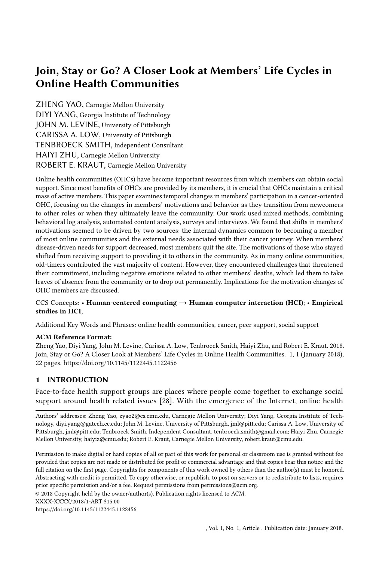communities (OHCs) allow people to gather in a virtual environment without restrictions stemming from geographic distance or temporal availability, offering them a platform to share experiences, ask questions, and receive and provide social support [22, 24]. OHCs are thus different from face-to-face support groups, in which groups of people gather at a set time and place to discuss problems and get advice. In the latter, professional experts and lay volunteers often help moderate discussions, provide guidance, and evaluate medical content. In contrast, OHCs are typically larger, and rely upon asynchronous communication among geographically dispersed people and on members to provide peer support [7]. Since the benefits of OHCs are provided by members, it is crucial that OHCs maintain a critical mass of active members.

Retaining members is a key challenge faced by many types of online communities, including question and answer sites [30], peer production platforms like Wikipedia [5, 31], and OHCs [24]. In an attempt to develop general principles, much of the research on how to retain members in online communities, including Kraut and Resnick's review [17], has been agnostic to community type. It is not clear, however, the extent to which conclusions from this research can be directly applied to OHCs. One feature that might prevent such direct application lies in that, unlike many other types of online communities, including peer production ones, OHC members' participation is often heavily dependent on their users' own health status and is mostly driven by temporary and intermittent needs [10, 13, 21]. Thus, it is reasonable that many newcomers join OHCs mainly for self-centered motivations, in search of actionable information that is specific to current challenges they are facing in their personal lives [11, 21]. In contrast, although there are exceptions (e.g., [16]), most research on participation in online communities does not examine how it is driven by offline events.

Existing work focusing on health communities has investigated factors that influence members' behavior and tenure (e.g., [12, [42,](#page-21-0) [44\]](#page-21-1)). For example, Wang et al. [\[42\]](#page-21-0) found that those looking for and receiving informational support were less likely to stick around than those looking for and receiving emotional support. Although a small fraction of members become core contributors in many online communities [33], we know little about the reasons they become valued core members in OHCs.

In this paper, we seek to explore the following research question: how do OHC members' motivations and behavior change as they transition from newcomers to other roles or when they ultimately leave the community? We take into account two dynamic processes holistically: the general, internal processes common to participation in many online communities (e.g., the reader-to-leader framework, [5, 25, 33]), and processes specific to health communities based on members' illness trajectory (e.g., their cancer journey, [8, 12, 14]).

We examine members' life cycle in the context of the American Cancer Society Cancer Survivors Network<sup>®</sup> (CSN). The research used a mixed-methods approach, which combined interviews, behavioral log analysis, content analysis and surveys. The research found that (1) members joined OHCs for self-oriented goals driven by the uncertainty generated by their disease state, especially their need to get relevant information and conduct social comparisons; (2) when members' diseasespecific needs for support decreased or were satisfied, most members quit the site; the motivation of those who stayed became more community-oriented and shifted from obtaining support to helping other members in the community; and (3) old-timers experienced challenges that seemed to undermine their long-term commitment to the community, including strong negative emotions brought on by other members' passing away and other signs of burnout.

#### 2 RELATED WORK

In this work, we are interested in the process by which individuals become valued core members of OHCs, taking into account the general internal process of participation in many online communities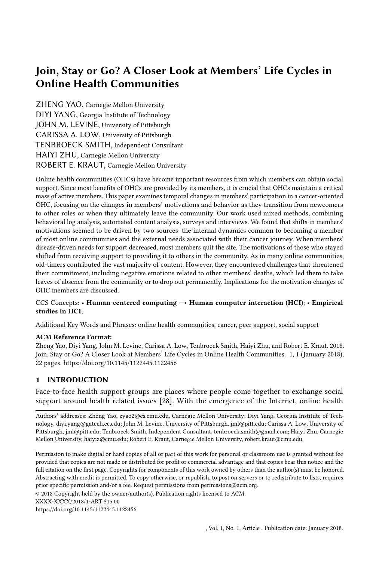and social groups, and the unique characteristics of OHC participation. In the following section, we first draw on classic theories on online communities to examine how and why community members change their behavior over the course of their participation. We then delve into our context by introducing OHCs. We discuss why members' behavior in OHCs might differ from those in other online communities, and why improved understanding of OHC members' life cycles might be crucial for its organizers.

### 2.1 Members' Life Cycles in Online Communities

Social computing researchers have examined how members change their participation in online communities over time (see [17] for a review). Typical of this genre is the Preece and Shneiderman's reader-to-leader framework, which describes how members of online communities evolve from being a lurker or reader, to a contributor and collaborator, and eventually to a community leader [33]. Bryant et al. [5] usesideas from legitimate peripheral participation and activity theory to understand participation in the Wikipedia community as an adaptable process that evolves over time.

The changes in participation in online communities described in prior work fit into Levine and Moreland's more general group socialization framework [25], which attempts to explain changes in motivations for participation in most types of social groups. The model differentiates five phases of group membership, three of which are particularly relevant to our present concerns  $- (1)$ investigation, in which prospective members decide whether to join a group and the group decides whether to receive them; (2) socialization, in which new members seek to influence the group to satisfy their needs and the group seeks to influence them to meet its goals; and (3) maintenance, in which full members play specialized roles designed to meet both their needs and the group's goals. In all of these phases, the individuals and the group evaluate the past, present, and potential future benefits of their relationships. To the extent that the individual views the group as rewarding, he or she will be motivated to join during the investigation phase and to remain during the socialization and maintenance phases.

Such research attempts to explain the general dynamics of sustained participation and dropout in online communities and thereby has the potential to help designers and managers of online communities identify ways to better meet members' needs [3, 12, 18]. However, these general principles may not be directly applicable to the context of OHCs due to their unique characteristics and the influence of members' illness trajectories on member participation, which we will review in the following section.

### 2.2 Online Health Communities

OHCs are internet-based platforms where people come together to exchange social support around health related issues [15, 28, [43\]](#page-21-2). A substantial body of prior research has examined benefits conferred by participation in OHCs. This work [7, 28] suggests that participants in OHCs enjoy convenient access to other people with similar experiences, including those with significant firsthand experience dealing with relevant health problems. Social support is an important resource as patients and caregivers cope with corresponding disease. Through participating in OHCs, members obtain useful information sometimes not available from medical experts [7], such as effective strategies for coping with disease, side effects or family relations [22]. Members also receive emotional support from each other when facing life-threatening crises, which help them deal with emotionally crippling events [39]. These benefits may be due, at least in part, to immediate availability (i.e., 24/7 access without restriction of geographic locations) and the anonymity of OHCs [24].

Given the critical role that social support plays in OHCs, prior research has examined the dynamics of social support and how receiving social support influences members' subsequent participation in OHCs. For example, Introne et al. [12] analyzed data of thirteen disease-specific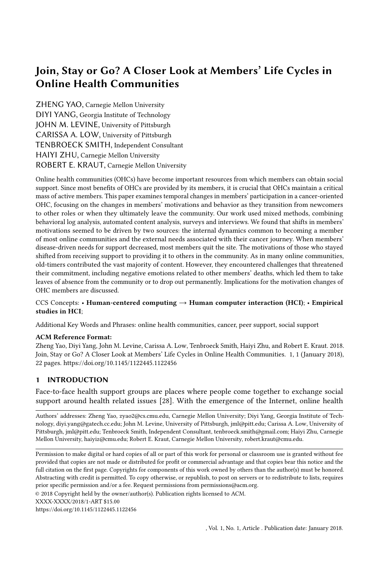discussion forums hosted by the WebMD OHC and found that a small group of core senior members generate the majority of support for others. Ploderer et al. [32] found that more senior roles in OHCs are often occupied by those who have successfully managed their own health problems and have the knowledge and experience to support others. Wang et al. [\[42\]](#page-21-0) found that those looking for and receiving social support stay longer than those looking for and receiving informational support.

Although we have some quantitative evidence that a small set of core and senior members in OHCs contribute the majority of content, we understand little about the reasons why these groups of people stick around and altruistically provide informational and emotional support to others. More importantly, we need a holistic understanding about how and why OHC members evolve from newcomers to old-timers. Unlike members in other online communities, OHC members' participation is often strongly impacted by members' personal healthcare events [8, 12, 14]). For example, Massimi et al. [24] proposes that the adoption and disengagement decisions are often triggered by their changing life circumstances. For cancer patients specifically, Jacobs et al. [14] proposes a cancer journey framework, where they suggest that HCI researchers should address cancer patients' journies in a holistic manner: encompassing patients' cancer experiences from diagnosis through survivorship, considering numerous physical and emotional challenges, and balancing clinical tasks alongside the responsibilities of daily life. This also urges HCI researchers to examine to what extent members' online behavior would be affected by their offline cancer experiences, as such understandings could help organizers of OHCs make better informed decisions.

Furthermore, existing research on OHCs has largely focused on the benefits and support members receive from their participation, and few researchers have studied how people cope with the challenges associated with their illness trajectories, as well as the potential risks of participating in OHCs. Members of OHCs are usually individuals with existing health problems and thus especially psychologically vulnerable [20]. Viewing information related to health symptoms and others' problems can trigger negative emotional outcomes, including feeling overwhelmed and frightened [19]. Participation in OHCs may also remind members of their social identity as a cancer survivor and cause a fear of relapse. It is therefore crucial to understand how members in OHCs cope with physical and emotional challenges during their participation.

#### 3 METHODOLOGY

#### 3.1 Research Site

Our research site was the Cancer Survivors Network  $\rm (CNN)^1$  $\rm (CNN)^1$ , a collection of online peer support groups organized by the American Cancer Society. Launched in July 2000, CSN was designed to offer cancer patients and their families experienced-based knowledge and social support from other members [9]. According to a report published in 2018, CSN attracts over 3 million unique visitors per year and over 140,00 people register new CSN accounts per year. The majority of the members are cancer patients; other members include families and friends, who have been impacted by cancer [9].

#### 3.2 Research Methods

This research used mixed methods incorporating both qualitative and quantitative analyses. We first interviewed 20 long-time CSN participants. The qualitative analysis of the interview transcripts was used to inform a series of targeted quantitative analyses, and the results of the quantitative analyses are presented alongside the qualitatively derived narratives. The quantitative analyses are based on surveys with over 5,000 CSN members and behavioral logs from over 130,000. Table [1](#page-4-0)

<span id="page-3-0"></span> $^1$ https://csn.cancer.org

<sup>,</sup> Vol. 1, No. 1, Article . Publication date: January 2018.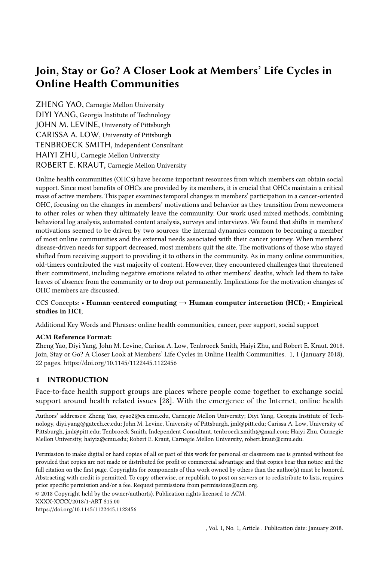summarizes the sample size of each data source and the time period each group of participants stayed on CSN, defined as the number of days between their registration date and the last time they logged into CSN. Our interview sample represents a small group of highly motivated old-timers on CSN. Our behavioral log analysis sample represents the entire population of CSN users, whereas the survey sample is based on a large but selected group of more motivated users.

3.2.1 Interviews. To explore how OHC members' participation change over time, we conducted semi-structured interviews with 20 CSN users. We first identified all users who had logged onto CSN at least once in the six months prior to recruitment, sent email interview invitations to 300 members who had registered over a year ago, of whom 19 responded and were interviewed (6.3%), and to 300 people who had registered for CSN in the past year, of whom only one (0.3%) responded and was interviewed. Our interviews took place remotely via Skype, Google Hangout or phone call. The average age of the interviewees was 56.3 (sd = 10.63), with all but one more than 45 years old. Among the 20 participants, 17 were cancer survivors and three were caregivers to cancer patients. Although we sent out interview invitations to a random sample of recent users, those who responded had been active on the site far longer than average: all but one had registered more than a year before the interview date.

The interview typically lasted around an hour. During the interview, the participants were shown samples of their posts on the site and were asked to describe their experiences when they first joined the site, made their first post, and made their most recent post (e.g., Could you please navigate me to the very first thread that you started/the most recent thread you started? Can you tell me why you posted this message?). They also reflected on their motivations and challenges on CSN both when they first joined and during later stages (e.g., Now that you've been on CSN for X years, what are your current reasons for using CSN?). Finally, they discussed how their experiences of using CSN had changed over their tenure (e.g., How do you think your experience have changed over time?).

All 20 interviews were recorded and transcribed. We started inductive, open-ended qualitative coding by tagging topics in the transcripts. We then tried to build connections between the tags to identify emerging themes from the interview data. Finally, we grouped various themes into different stages of participation and drew key quotes to illustrate our findings. In addition to interviews, we also looked at interviewees' posts and comments to better understand their experiences on CSN. Note, as part of the consent processes, interviewees gave permission to view their posts and discuss their posts with them. Examining the interviewees' profiles and posting history allowed us to better understand the context of their CSN journey and to effectively facilitate the interviews. Some of the discussion posts were used as probes to elicit interviewees' reactions and thoughts at the time

<span id="page-4-0"></span>

|                 | Sample size                                            | <b>CSN</b> tenure                   |  |  |
|-----------------|--------------------------------------------------------|-------------------------------------|--|--|
| Interviews      | 20                                                     | All participants except 1 stayed    |  |  |
|                 |                                                        | more than a year.                   |  |  |
| Surveys         | 5,426, answered all or part<br>of the survey questions | Median tenure = $10 \text{ days}$ , |  |  |
|                 |                                                        | 1,648 (30.4%) participants stayed   |  |  |
|                 |                                                        | more than a year.                   |  |  |
|                 |                                                        | Median tenure $= 1$ day,            |  |  |
| Behavioral logs | 136,323                                                | 9,920 (7.2%) participants stayed    |  |  |
|                 |                                                        | more than a year.                   |  |  |

|  |  | Table 1. Sample size and characteristics of each data collection method |  |  |
|--|--|-------------------------------------------------------------------------|--|--|
|--|--|-------------------------------------------------------------------------|--|--|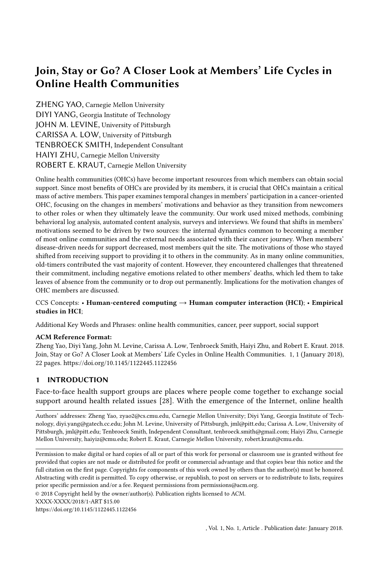of posting; this technique asks participants to recall an actual event, and the probe serves to make up for some of the drawbacks (e.g., inaccurate memories) associated with retrospection [37].

3.2.2 Log data analysis. The behavioral log data consists of the users' posts, comments, profiles and history of login session history on CSN between August 2008 and August 2018. Note all message traffic on CSN can be viewed by the public without registration. The behavioral log data was obtained through a collaboration with the American Cancer Society; the university's IRB and US federal regulations do not consider the analysis of publicly available data to be human-subjects research. All our data were anonymized before analyzing. The sample consisted of 136,323 users who had logged onto CSN during this period. In addition, we leveraged machine learning models to measure features of their posts and comments. The machine learning models were those developed by Yang et al. [\[44\]](#page-21-1) based on social support definitions in [4], in which linguistic features of the posts predict the extent to which support-relevant constructs appear in them. Specifically, the models predicted support-seeking actions–how much thread-starting posts sought informational support and emotional support, as well as how much positive and negative self-disclosure they contained. We also examined support-provision actions in replies to posts, including how much informational and emotional support a reply contained. Full details regarding the machine learning models used are in [\[44\]](#page-21-1) and summarized in Table [2.](#page-6-0) Human annotation agreement on a training dataset was high (mean ICC=.84), and the machine learning models were highly correlated with the average of the human judgments (mean Pearson correlation  $r=0.71$ ). We then applied these models to estimate six types of support-related actions in posts from our corpus.

3.2.3 Survey. The data also include responses from a survey sent out at the beginning of 2014, during which we emailed 83,589 CSN users who had logged in at least once between January 1, 2000 and October 30, 2013. The American Cancer Society sent out invitations to CSN members to participate in the survey so that the researchers would not have access to personally identifiable private information. Of the 83,589 emails sent out, at least 11,000 never received the survey based on undelivered and bounce back notifications. 5,426 people completed at least part of the survey (6.5%) and among them 55.81% finished. Because of missing data, there is some variability in the number of participants answering a particular question. Therefore we specify sample size for each analysis presented in later sections. In this paper, we mainly focused on participants' self-reported motivations for participating in CSN and their interpersonal attachment to other CSN members. Members' motivations to join online support groups were measured by four short, but highly reliable scales representing four common reasons why members join online support groups: to get informational support, to get emotional support, to conduct social comparisons, and to provide support to others. These four reasons were based on two in-depth, qualitative analyses of the reasons people participate in online groups in general, including health support groups, and in online cancer support groups [35, 36]. For each of the three statements, CSN members responded to the question "How valuable is participating in CSN for each of the following purposes?" using a 5-point Likert scale, where 1 = not at all and 5 = very much. Confirmatory factor analysis showed that the four factor solution is a good fit to the data (CFI=.971, TLI=.958, RMSEA=.087). In addition, the survey measured participants' attachment to other CSN members on a 5-item scale (alpha = .85). Table [3](#page-6-1) shows sample survey item for the motivation and attachment scales.

# 4 RESULTS

# 4.1 Initial motivation to participate in OHCs

According to the interviews, new members typically joined CSN shortly after being diagnosed or when they were in active treatment stages of their cancer (i.e., screening diagnosis, information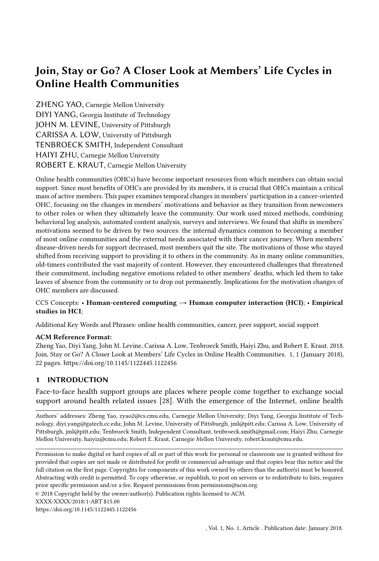Join, Stay or Go? A Closer Look at Members' Life Cycles in Online Health Communities 7

<span id="page-6-0"></span>

| Support<br>actions                    | Definition and examples                                                                                                                                                                                                                                                             | Corr. |  |  |
|---------------------------------------|-------------------------------------------------------------------------------------------------------------------------------------------------------------------------------------------------------------------------------------------------------------------------------------|-------|--|--|
| Seeking<br>informational<br>support   | Seek information, advice, referrals or knowledge in the<br>thread starting post.<br>"I was wondering if anyone who has had whole brain radiation<br>has had hair not grow, back on head?"                                                                                           |       |  |  |
| Providing<br>informational<br>support | Provide informational support to the person starting the<br>thread.<br>"It was explained to me that microcalci cations look like as if<br>one were to throw rock salt on a blacktop driveway and they<br>would 'cluster and fall' in many locations"                                | 0.79  |  |  |
| Seeking<br>emotional<br>support       | Seek understanding, encouragement, sympathy or caring<br>in the thread starting post.<br>"So, much of the stu I nd on the web is 'doom and gloom'.<br>Would love to hear from some long-term survivors!!!! Mainly<br>cuz I'm scared, out of my wits about all this - any thoughts?" | 0.64  |  |  |
| Providing<br>emotional<br>support     | Provide emotional support<br>"I do understand the frustration and anger and sadness<br>of having drugs fail you and then venturing forth on unknown<br>territory yet again. This whole journey is fraught with crappy<br>bumps and turns. wish you the best."                       | 0.75  |  |  |
| Self-disclosing<br>positively         | Discuss positive thoughts or emotions, such as gratitude and<br>love.<br>My family is so supportive and makes me feel like such a<br>loved person."                                                                                                                                 | 0.72  |  |  |
| Self-disclosing<br>negatively         | Discuss negative thoughts or emotions, such as worry or anger.<br>"I am freaked out after reading my mammogram report"                                                                                                                                                              | 0.71  |  |  |

Table 2. Definitions, examples of six support-related actions, and our model accuracy as measured by the Pearson correlations between model predictions and human judgements.

<span id="page-6-1"></span>

| Scale                     | Sample statement used in the survey                      | Alpha |
|---------------------------|----------------------------------------------------------|-------|
| Get informational support | To get information about the cancer I'm dealing with.    | .86   |
| Get emotional support     | To be comforted by others in CSN who have been there.    | .94   |
| Conduct social comparison | To see how other CSN members like me are doing.          | .87   |
| Provide support to others | To help others solve their cancer-related problems.      | .96   |
| Interpersonal attachment  | I feel very close to some of the people I've met on CSN. | .85   |

Table 3. Self-report scales, sample questions, and scale internal consistency (Cronbach's Alpha)

seeking, and acute care treatment) and thus were in need of informational support. The results, however, also indicate that new members are there for more than just information. Members' participation in CSN was aimed at reducing their uncertainty and anxiety about their disease. In addition, to find useful information, participants reported employing strategies such as conducting social comparisons with other members. Quantitative analysis supports the interview findings.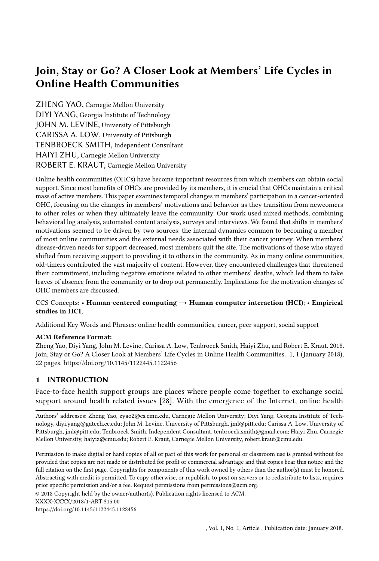#### <span id="page-7-0"></span>8 Anonymized



Fig. 1. Distribution of registration time since diagnosis

4.1.1 Members typically joined OHCs early in treatment when they were especially in need of help. All 20 interview participants reported joining CSN when they or their loved one were just diagnosed with cancer or were in active treatment of cancer. They described that they felt "shock[ed]," "horrified," "uncertain" or that they "did not know what to do" about their disease at the time. Eighteen of the 20 described a similar scenario about how they found out about the site: in order to know more about their disease, they chose to search online.

"Because I was there and I didn't know what I was going through. And I wanted answers that, the doctors couldn't... they couldn't tell me, they couldn't have real life experience." (P11)

"So I did ...well I started my research for [my partner's] cancer, I think the American Cancer Society site popped up. And so then I started searching, you know, for his particular type of cancer, I found the American Cancer Society to be actually very, very helpful..." (P5)

Our log data support the qualitative findings that most members joined OHCs in their early stages of treatment. Figure [1](#page-7-0) shows the distribution of the time interval between CSN members' (or their loved one's) diagnosis time, derived from the survey  $(N = 2928)$ , and their CSN registration date, derived from the log data. It shows that 44.8% of the users registered within three months of cancer diagnosis. This suggest that many newcomers join OHCs in search of actionable results that are specific to the challenges (i.e., cancer diagnosis in this case) they are facing in their offline life [3, 7].

Furthermore, the majority of users found CSN through informational search engines such as Google. For instance, according to Google Analytics data, a total of 6,305,602 unique users visited CSN via a search engine in 2017, probably searching for cancer information or support, but only 13,231 users created a new account during 2017. Although the data do not allow us to identify the pathways through which particular people joined CSN, this disparity between unique visitors versus registrations suggests that many users got to know about OHCs such as CSN when searching for relevant information on the Internet, and a minority decided that they wanted interaction with other survivors in addition to static information.

Self-reported data from our survey show also that informational needs stand out among other reasons for OHC participation. One-way ANOVA showed a statistically significant difference among the four types of motivations reported by survey participants  $(F(3,11738)=134.99, p<0.0001)$ . Post-hoc Tukey tests indicate that members' needs for informational support were significantly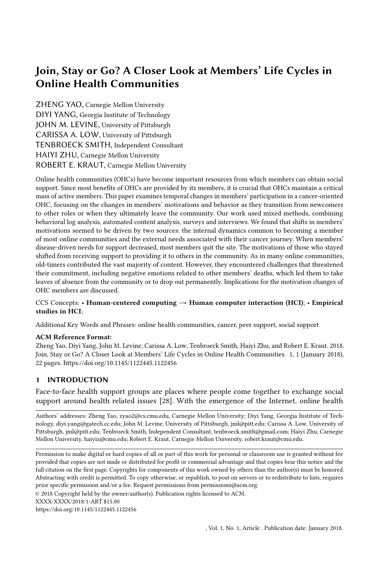| <b>Motivations to use CSN</b> | Mean              | SD.  |
|-------------------------------|-------------------|------|
| Get informational support     | $3.82^{0}$        | 1.14 |
| Conduct social comparison     | $3.33^{1}$        | 1.23 |
| Get emotional support         | 3.30 <sup>7</sup> | 1.39 |
| Provide support to others     | $3.21^{2}$        | 1.35 |

Table 4. Motivations to use CSN reported by survey participants.

<span id="page-8-0"></span>Mean and SD are shown. Within columns, means with different superscripts were statistically different from each other. Get informational support is significantly higher than other three types of motivations (\*\*\*:

p<0.001); to provide support to other members is significantly lower than other three types of motivations (\*: p<0.05).

higher than the other three types of motivations examined (mean = 3.82, versus all others, p<0.001). Second most important was the use of CSN to make social comparisons (mean = 3.33) and to get emotional support (mean = 3.30). Participants also reported that they used CSN to provide support to others but the score is significantly lower than those of others (mean =  $3.21$ , all p <0.05). Table [4](#page-8-0) contains the descriptive statistics for the four types of motivations reported by survey participants.

4.1.2 Members received support from OHCs that was otherwise unavailable via o line sources. Interview participants reported that obtaining disease-relevant information and conducting social comparisons with other users were two useful strategies to reduce their uncertainty. In particular, they described information from CSN as information "otherwise unavailable via offline sources" that sometimes facilitated their treatment decision-making.

"There were issues in my treatment that were pretty severe. And I didn't get information from doctors, but the other patients that had similar problems like I had, I read about them...like, when I was debating whether or not to have radiation after the chemo. And I went on CSN and I asked, Does anyone else have the same thing going? Well, I didn't get a whole lot of responses, [but as for] what I did get, that that's basically what I use for this." (P16)

Interviewees have stressed the helpfulness of assessing other members' situations, which could be more personalized than guidelines they received from doctors.

"The forum itself, I found very helpful... So it was just interesting to read other people, you know, going through the same thing, and, how they were dealing with it. Like, for instance, food was a big issue, you know, how are they eating? What were they eating? The pain was terrible, you know, how are they dealing with the pain?" (P12)

As for social comparisons, OHCs such as CSN allow patients and caregivers from all over the globe to participate and thus view a variety of cases. Specifically for new OHC members, upward social comparison (i.e., comparing one's situation with those who are better off) led to positive feelings about their situations.

"Doctors tell you, you know, come from a clinical side. CSN tells you, people who have lived it...So to hear from the people who have done it, it makes it okay. You know, when they say chemo is doable, it's, um, you know, it is doable, and yeah, let's do that." (P15)

While the majority of the interviewees reported that they joined CSN mainly to know more about their disease, interviewees also identified obtaining emotional support as an associated benefit brought by participating in CSN. Members got direct encouragement from fellow members regarding their situation, as P2 reflected: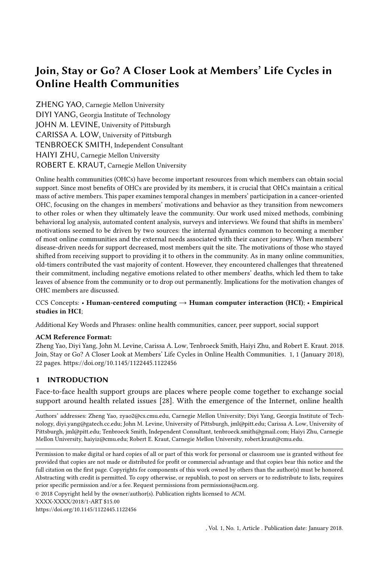"When I made my very first post, you know...I got responses immediately. Some are like, just a couple of words, saying that 'you could do it'. It does make me feel a whole lot better, seeing these responses."

Companionship with members in similar situations provides comfort and reduces feelings of isolation. Members expressed "not feeling alone."

"I think it was just comforting to be in a group of people that were going through the same thing. You know, I don't have my own personal friends [who] have this kind of stuff. I don't really know anybody who had this kind of cancer. Hmm. So I didn't have any personal resources." (P7)

Similar experiences also provide a common ground for better understanding each other, even compared with close family members and friends as P9 noted,

"Everybody said I looked fine. I didn't even look like I was sick... it made me mad because when you have this I guess there's a part of you that wants a lot of sympathy, empathy whatever you want to call it. [On CSN], you know you get something from these guys, as they are just like you. You know you could only expect hugs sent to others – it's still keystrokes, but was better than nothing. "

Our results are consistent with prior research that OHCs provide members with informational and associated emotional support that are otherwise unavailable to them [34, 40]. The results also echo prior work on cancer journey, which indicates patients tend to spend a lot of time seeking information to get their questions answered and thus informational support is of the most value to them [10].

These findings are consistent with prior work that treat participation in OHCs as primarily driven by the course of members' diseases: social support afforded by OHCs can help members navigate intense and difficult periods in their lives.

## 4.2 To leave or not to leave? A decision for continuous participation at OHCs

4.2.1 Most OHC members dropped out a er their initial needs for joining the site were met, because continued participation brought few benefits. Participation in OHCs was primarily driven by the course of members' diseases: social support afforded by OHCs can help members navigate intense and difficult periods in their lives; over time, however, the amount of support they sought and received declined, as urgent questions got answered, and individuals developed additional mechanisms to cope with their diseases [7]. OHC members dropped out because they no longer found the group valuable. For example, cancer patients who have been declared in remission with "no evidence of disease" after receiving treatment often shifted the focus of their lives away from cancer. P7, who had not logged into CSN for three months before his interview, reported: "As I stay longer, more that I give input and less that I need input. Probably just a year has gone by and in my life everything has become better."

Our log data analysis results support the findings from the interview that the majority of users tend to quit quickly after initial use: 62.5% of registered members on CSN never logged in again after the first day of their participation. Among those who logged into CSN at least once after their registration date, the half life of their CSN participation was about 31 days. Together, these figures indicate that less than 20% of the users stayed on CSN for more than a month. Members who did stay sought less support over time. Figure [2](#page-10-0) shows that the average amount of informational, emotional support seeking and negative self-disclosure per thread-starting post decreased and that positive self-disclosure increases over the first six months of members' participation. Those who never initiated a post sought less informational and emotional support over time. Specifically, the duration of CSN membership was negatively associated with the amount of informational and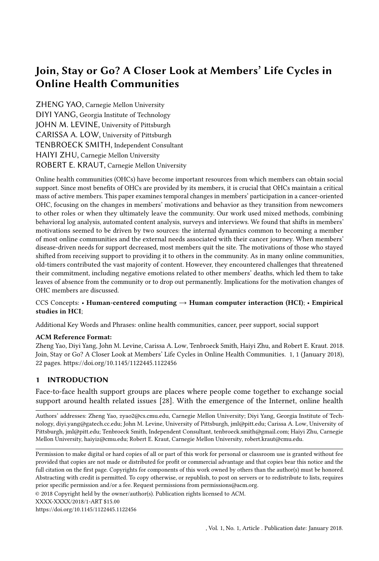<span id="page-10-0"></span>

(a) The average amount of informational support seeking, emotional support seeking, negative selfdisclosure and positive self-disclosure contained in the thread-starting posts made in the first six months since users' registration time. Y axis reflects the score generated by our machine learning model (range = 1-7). Each line represents the mean in each month. The borders represent standard errors. Only members who stayed 6 months were included.



(b) The amount of informational support provision and emotional support provision contained in the comments made in the first six months since users' registration time. Y axis reflects the score generated by our machine learning model (range = 1-7). Each line represents the mean score in each month, and the borders represent standard errors. Only members who stayed 6 months were included.

Fig. 2. How members'change within the first 6 months of their participation

emotional support the members sought in threads they started (coef = -0.0029, p<0.001; coef = -0.0009, p<0.001, respectively). Moreover, the longer members stayed on CSN, the more positive self-disclosure (coef = 0.0018, p <0.001) and less negative self-disclosure (coef = -0.0009, p<0.001) their posts contained. The decline in negative self-disclosure is consistent with the hypothesis that members are seeking less support over time because prior research has shown that negative self-disclosure is the major mechanism through which people seek support, especially emotional support, in online health support communities [\[42,](#page-21-0) [45\]](#page-21-3).

As for the provision of support, log data analysis results show that the longer members stayed on CSN, the more emotional support (coef =  $0.0010$ , p < $0.001$ ), but the less informational support  $(coef = -0.0008, p<0.001)$  they offered in their replies to other members' threads. Figure [2b](#page-10-0) illustrates that the amount of emotional support provision increased, whereas the amount of informational support provision decreased over the first six months of participation.

4.2.2 Members continue to participate in OHCs because of the obligations of reciprocity and the ties they formed with other community members. Notably, all but one interviewee showed "no evidence of disease" at the time of their interview, suggesting that they no longer needed or were actively seeking informational or emotional support. Although the remaining interviewee (P8) reported that her tumor was "spreading," she "has not been seeking for help recently," for she has gained "more than enough knowledge for her own disease". This is consistent with the cancer journey perspective [13], which predicts that the amount and way that members engage in OHCs depends on their disease state. Although the cancer journey perspective predicts that support-seeking will decline, it does not convincingly provide a rationale for why these members continued to participate even after remission.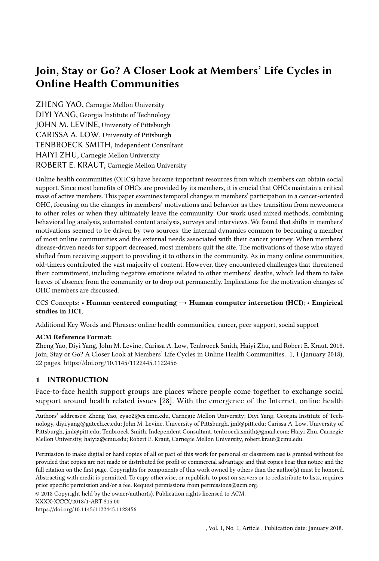Interviewees revealed a variety of reasons to stay and help other members on CSN. Some described a general reciprocity process, in which they wanted to return the favor to a community where they've been offered similar types of support when they were newcomers. P17 shared her experience of being helped when she was a newcomer to CSN and identified reciprocity as her reason of staying:

"When I was new to the site, I had everybody there who is undergoing chemo. You know, there was one lady who had undergone an IP chemo and she was able to tell me, you know, this is gonna hurt. She didn't lie: this is gonna hurt. You know what, since it is your best chance, here's what's you're gonna feel and she's able to describe it. That helped to take the fear of the unknown away. And because of this type of thing, this type of support I've got, I wanted to give back."

Interviewees also mentioned empathy as another reason for staying; based on their own experiences, participants could relate to other members' anxiety and uncertainty, and therefore wanted to provide support.

"...at the end of the day, you're by yourself and you know, your mind is going crazy. And that feeling of [being] all by yourself versus having people around you, especially with an unknown aggressive cancer, you know, never would have guessed it in a million years that you would have that. So if people can find their way to CSN, yeah, I remain. I can be there in a minute. I can remember exactly how I felt. I can remember exactly the things I was thinking." (P15)

In addition to altruism, OHC members' tenure on the site could also be influenced by their connection with other members. Interviewees indicated that they had developed some level of friendship, or at least had become acquainted with other members in the forum. Some expressed the desire to "check up on [their CSN acquaintance]" when on the site. Although five out of the 20 interviewees mentioned they've exchanged contact information with other members outside CSN (e.g., Facebook, email, or in-person meeting), most interviewees indicated that they just knew other members "on the cancer level." P1 described his friendship on CSN as follows:

"I don't know them very personally but I know them on the cancer level. And I know where they go and what they do and what they like just through the forum and stuff. You know if I have time and I'm sitting around, I'll log in and just see who is online and then ask how's Ann, or how's Ted or how's Matt<sup>[2](#page-11-0)</sup>. We just kind of talk about just stuff. You know, their cat's name, how much wood the guy split intermingled with ... how are you with your disease. "

Besides their online experiences on CSN, interviewees also quoted individual differences or their personality traits as the reason why they continued participating on the site. For example, some mentioned that they tend to do charity and volunteering work even offline.

"I wanted to help. I've been volunteering for a lot of stuff my entire life. I was a volunteer emergency services model in college [..] I volunteer now with a bunch of charities including this one in Florida." (P18)

Our log data analysis results provide additional insights about how people who choose to stay might be inherently different from those who drop out early - that is, their behavior differs even in initial days of their participation. Based on our analysis, members who stayed in the community for a long time were substantially more active even from the beginning of their CSN participation compared to those who dropped out within a year. Specifically, we compare three groups of CSN members: those who stayed on CSN for different lengths of time: "early-dropouts" who stayed up to

<span id="page-11-0"></span><sup>2</sup>Names have been pseudonymised.

<sup>,</sup> Vol. 1, No. 1, Article . Publication date: January 2018.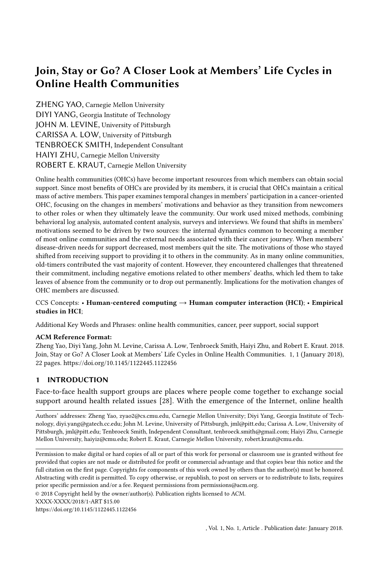<span id="page-12-0"></span>

Fig. 3. The average number of posts and comments users made over the first 6 months of their participation. Early-dropouts stayed up to a month; mid-tenured stayed for a month to a year; old-timers stayed more than a year.

a month, "mid-tenured members" who stayed on CSN for 31 to 365 days, and "old-timers" who stayed longer than a year). In this analysis, we only consider those who logged into CSN at least once after registration ( $N = 51,097$ ). We delineate early-dropouts and mid-tenured members at the thirty-day mark because the median minorlength of time these 51,097 users stayed on CSN was 31 days. We chose one year as the threshold for defining old-timers because cancer patients typically view the one-year mark as a milestone in their cancer treatment and call it their "cancerversary." Figure [3](#page-12-0) shows the average number of thread-starting posts and responding comments members made over the first six months of their participation for the three tenure groups. One way analysis of variance (ANOVA) analysis showed that old-timers started significantly more threads and commented more even during the first month of their participation ( $F(2,87) = 6.82$ , p<0.01; 0.23 posts per person per day) than did mid-tenured members (0.11 posts per day) and early-dropouts (0.10 posts per person per day).

In addition to the quantity of members' posts, we also examined how the content of their posts during their first month of CSN participation varied as a function of how long they ultimately stayed on CSN. We found old-timers sought significantly less support (both emotional and informational), disclosed less negative content, but more positive content as compared with the two other groups in the earliest stage of their membership. We leveraged machine learning models to measure the amount of members' support seeking behavior and negative and positive self-disclosure contained in their thread-starting post We then used one-way ANOVA to test the differences between these acts among early-dropouts, mid-tenured members and old-timers. Table [5](#page-13-0) shows the mean score and the standard deviations for the amount of each of these support-related acts performed for the three tenure groups. The tenure groups differed in terms of emotional support seeking (F(2, 32837)=73.26, p<0.001). Post-hoc Tukey tests indicated that old-timers sought less emotional support than the other two groups of members (both  $p<0.001$ ) who did not differ from each other. The tenure groups also differed in terms of informational support seeking (F(2, 32837)=15.90, p<0.001), with the post-hoc Tukey tests revealing that old-timers sought significantly less informational support than the other two groups of members (both  $p<0.001$ ), who did not differ from each other.

The tenure groups also differed in terms of negative self-disclosure  $(F(2, 32837)=78.94, p<0.001)$ , with the post-hoc Tukey tests revealing that old-timers disclosed significantly less negative content than the other two groups of members (both p<0.001); members who stayed beyond a month also disclosed less negative content than members who dropped out within a month ( $p = 0.009$ ). Finally,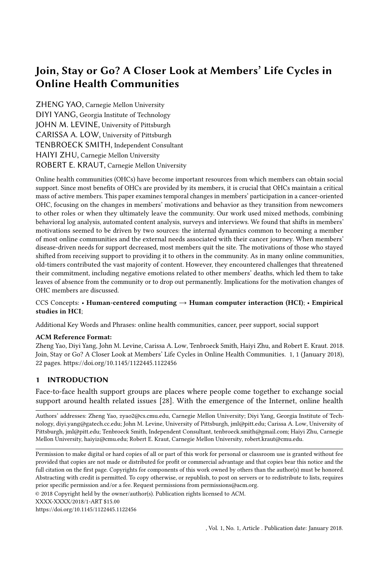<span id="page-13-0"></span>

|                | seek emo          |         | seek info  |      | negative          |      | positive          |      |
|----------------|-------------------|---------|------------|------|-------------------|------|-------------------|------|
|                | support           | support |            |      | self-disclosure   |      | self-disclosure   |      |
|                | mean              | sd      | mean       | sd   | mean              | sd   | mean              | sd   |
| Early-dropouts | 2.14 <sup>0</sup> | 1.03    | $3.41^{0}$ | 1.60 | $2.07^{0}$        | 1.00 | $1.56^{0}$        | 0.65 |
| Mid-tenured    | $2.12^{0}$        | 0.98    | $3.41^{0}$ | 1.58 | 2.30 <sup>7</sup> | 0.96 | $1.62^{1}$        | 0.70 |
| members        |                   |         |            |      |                   |      |                   |      |
| Oldtimers      | 2.00'             | 0.91    | 331'       | 1.56 | 1.91 <sup>2</sup> | 0.88 | 1.69 <sup>2</sup> | 0.74 |

Table 5. Four types of support acts performed by early-dropouts, mid-tenured members and oldtimers in threads started within the first 30 days of their participation. Within columns, means with different superscripts were statistically different from each other.

the tenure groups differed in terms of positive self-disclosure (F(2, 32837)= 94.89, p<0.001). Unlike the other support-relevant actions, the post-hoc Tukey tests indicated that old-timers disclosed significantly *more* positive content than the other two groups (both p<0.001); members who stayed beyond a month also disclosed more positive content than those who left within a month (p<0.001).

4.2.3 The small group of old-timers in OHCs contributed to the community in multiple ways. Interviewees reported that old-timers on CSN make important contributions to the community by providing both direct and indirect support. Seven out of 20 interviewees recalled that they were directly supported by other members when they first joined the community, with support coming from those with similar cancer experiences to be especially helpful. For example, P20 said: "And immediately [after registration] I got a personal message from a person. Her husband was a survivor but 15 years younger than my husband, but identical cancer, identical circumstances. And so that was like a lifeline to me. "

Interviewees also reported that having experienced cancer treatment themselves enabled them to better help others. P2 described a scenario where she used her own experience to support other members: "I'll post on the discussion group because somebody will say, 'I'm waiting for my results and I'm not sure how I feel about this or I'm freaking out.' And I'll say well this is what happened to me. Yes it's really tough to wait for results but you just have to do one day at a time and leave ... a little blurb on it."

Besides offering others knowledge relevant to their disease, experienced members had also learned strategies for how to best respond to others. P6 noted a specific strategy she thought might be useful when trying to help others: "...You can't throw out all the negative stu all at once, which would made them even more worried. Rather you need to go bit by bit..." P10, on the other hand, was sensitive to the type of information members of the community should be providing: "I don't say speci c things as you should do this, do that, for I know I'm no doctor."

In addition to directly responding to other members to provide support, interviewees indicated that old-timers were also able to help in an indirect manner. First, by contributing the majority of the content on CSN, old-timers effectively made CSN an active group, which in turn attracted prospective members. P2 observed that she joined CSN after deciding it had a critical mass of activity [23]:

"I found the online forum. So then I clicked on there, and I was pleasantly surprised, maybe pleasant not the right word for cancer, but it was just really nice, because I went in there, and there was like, all the different cancers. And so I found the head and neck cancer and I went in there, and it seemed like, that was actually a pretty active forum. And, you know, people ask lots of questions."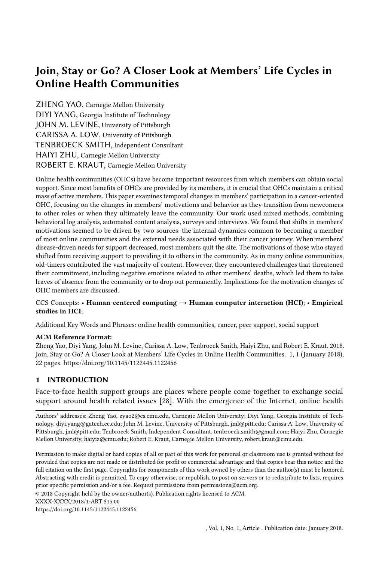Join, Stay or Go? A Closer Look at Members' Life Cycles in Online Health Communities 15

| Comments       |                   | Reply to threads started Reply to threads started   Reply to threads |                 |
|----------------|-------------------|----------------------------------------------------------------------|-----------------|
| made by:       | by early-dropouts | by mid-tenured members started by oldtimers                          |                 |
| Early-dropouts | 17,942 (24.3%)    | 7,846 (10.6%)                                                        | $11,643(2.0\%)$ |
| Mid-tenured    | 6,030 (4.4%)      | 40,339 (29.7%)                                                       | 36,108 (5.9%)   |
| members        |                   |                                                                      |                 |
| Oldtimers      | 48,037 $(65.0\%)$ | 89611 (65.9%)                                                        | 562,408(92.2%)  |

Table 6. Interactions between early-dropouts, mid-tenured members and oldtimers.

Second, responses old-timers left for a particular thread bene ted other members and even unregistered lurkers who browsed the conversations on CSN, as P8 noted:

"I think there's an awful lot of people, newcomers like me back then, [who] just go on there and spend hours on there just reading other people's posts, seeing what their issues were, and reading how other cancer patients got through treatment."

In addition, as previously discussed, newcomers to OHCs often sought upward social comparisons with other members who have shown "no evidence of disease" after treatment to gain optimism and inspiration during their own treatment. Old-timers who have undergone treatment and improved their health conditions served as natural "role models" for this type of comparison. Interview participants also reported feeling hopeful after reading old-timers' positive updates after their treatment was over, as P14 remembers:

"I read about these, you know, 'don't feel bad. I felt the same way you did, but there is light at the end of the tunnel.' You know, people who are battling don't give up, and life does get better after treatments were over."

Our quantitative analyses provide further evidence of old-timers' contributions to the community. Not only do they generate the majority of the content, but they also disproportionately provide emotional support to others. As is well known from prior research on many types of online groups  $\beta$ 0, 31] including OHCs [12], a small group of core contributors on CSN were the heavy contributors. Although only 7.2% of CSN members stayed longer than a year on CSN, they contributed the vast majority of the content on CSN by initializing 66,604 threads (61.6% of the total) and creating 742,396 replies to others (85.1% of the total). Table 6 illustrates the pattern of interactions among early-dropouts, mid-tenured members and old-timers, operationalized as the number of comments each group made to thread-starting posts initiated by each group. The overwhelming majority of interactions that old-timers had were with fellow old-timers (i.e., 92% of the comments written by old-timers were replies to threads started by other old-timers). This nding strongly suggests that interpersonal ties and repeated interaction with fellow old-timers were major reasons for their continued participation on the site. However, old-timers were so active on the site, they also provided the most comments regardless of who initiated the thread. For example, they provided 65% of the replies to threads started by both early-dropouts and mid-tenured members. Thus, in a very concrete sense, old-timers were the fuel that kept this OHC running. In addition to posting more content, old-timers' comments contained more emotional support compared to the comments of those who dropped out earlier. Using Welch's t-test, we compared comments posted by those who stay less than a year and old-timers in terms of their average amounts of informational support and emotional support, as illustrated in 4a. Old-timers' comments contained signi cantly more emotional support(t(161747) = 66.33, p<0.001) but less informational support (t(159364) = -63.96, p<0.001). This latter nding can potentially be explained, in part, by the fact that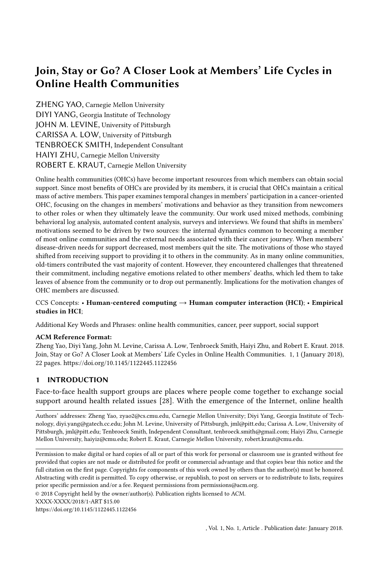$(a)$  (b)

Fig. 4. The comparison of old-timer and non-old-timers' support provision (a) and self-disclosure (b) based on Welch's t-test.

old-timers primarily communicate with other old-timers, who no longer need or seek informational support.

We also conducted a set of six ANOVA analyses to examine whether old-timers' support provision varied based on the recipient of the support. We looked at replies to threads started by early-dropouts, mid-tenured members and old-timers separately, and investigated how old-timers' support provision diered from the other two groups of members. Figure 5 shows the mean amount of informational and emotional support provided in comments by early-dropouts, mid-tenured members and oldtimers to the threads started by these three groups. We could see that, despite providing less informational support overall, old-timers were the most likely to provide informational support to early dropouts (mean = 2.90) and a reasonable amount to mid-tenured members (mean = 2.69). They provided little informational support to fellow old-timers. As for emotional support, old-timers provided more compared with early-dropouts and mid-tenured members regardless of the recipient.

# 4.3 Challenges of long-term participation in OHCs

Old-timers faced some unique challenges brought about by their own health problems and prior experience participating in an OHC. Re ecting theories about non-use of HCI systems and the disease journey perspective 4, disengagement with OHCs is not necessarily a failure of the site's design, but may represent a logical reaction to one's changing life circumstances (e.g., remission or ending of treatment). However, as we have seen, a minority of members stay in the community to oer help to others even though their initial needs and life circumstances have changed. Although these old-timers indicated that they were eager to stay and support others, they also pointed to challenges and risks of continuing their participation, which could lead some of them to drop out of the community in the future.

It is reasonable to draw similarities between the behaviors of old-timers on CSN and the reasons oine volunteers stop their volunteerism, such as a need to return to other commitments in their lives and undesirable interaction with the bene ciaries, which may lead to a decrease in the value they place on their volunteer work and their satisfaction with i2[. In addition, old-timers in OHCs may be plagued with the stresses similar to the burnout experienced by o ine volunteers [6, 26]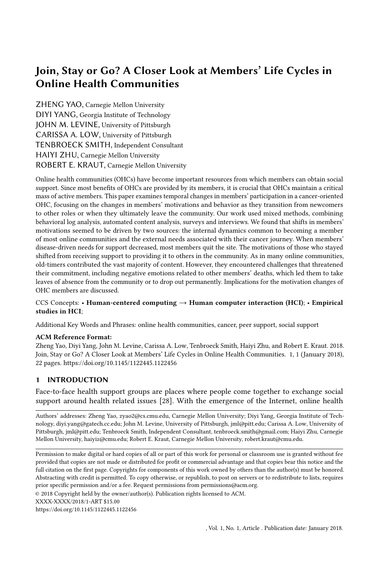$(a)$  (b)

Fig. 5. The average amount of informational support (a) and emotional support (b) per thread-starting post provided in comments by early-dropouts, mid-tenured members and oldtimers to the threads started by these groups.

Old-timers on CSN did express similar complaints. For instance, P9 explained how "wanting to get over with cancer" could lead to (tentative) dropout:

"Sometimes I nally want to be done with the whole experience you know, I just don't want...Like my wife, she can't watch an ad for the Cancer Centers of America, she can't watch a movie that has cancer in it because she just can't handle it. She doesn't want anything to do with it. Sometimes I think about that too. People step away from this they're done they don't want to do this anymore. "

Interviewees also reported unpleasant interactions with other members on CSN, as P13 reected interacting with "a couple of whiners":

"For example this one woman, she respond to all of these posts repeating her own experience, yeah, over and over and over and over. But she never answered any of these questions."

Nevertheless, interviewees insisted that, despite "feeling uncomfortable" with these experiences sometimes, these were not what drove them away. They felt capable of "handling it or just ignoring it." However, the old-timers on CSN expressed an additional challenge that seems specic to canceroriented OHCs: distress related to hearing of fellow members' deaths. Eleven of the 20 interviews expressed feeling "shocked" or "saddened" when reading about other members' deaths.

"I know them through the message board, not personally. But yeah, there's been a lot of members that I become feathered by them passing. It was very di cult I would cry. I would be you know... I would feel very hurt I would just...you do become very sad." (P11)

"But it's got to be depressing after a while reading about people that lost their battle with cancer. I could connect with them, though I never actually met them face to face, we had a bond because of a website. And you end up losing those people to something that you almost died from. So it's got to be depressing." (P13)

While similar scenarios have been described in prior work  $34$ , we found that discovering peers' deaths may have been especially heartbreaking for experienced CSN members because they often felt very connected to fellow OHC members, as P10 expressed: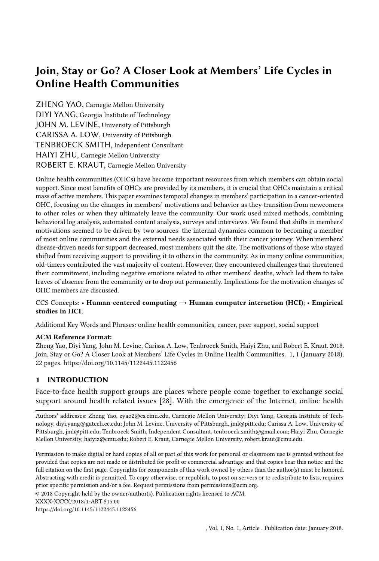"I think probably a couple di erent things [for me to take a break]. Among them, when one or two of the women have died. It really aects you because you feel like you know some of these women via the posts on there...You know a lot of what they've done through so it's really hard to think that way."

Moreover, reading about other members growing sicker or dying may lead to downward social comparison, that is, comparing one's situation with those who are in a less desirable position. Unlike those who are earlier in the treatment, the direction of members' social comparison may change as a result of these losses. Earlier in their participation, members were able to perform upward social comparison with patients who are better o than they were and to seek for both information and optimism when relatively new to the site. However, as some stayed longer, they started to make downward social comparisons, comparing themselves to fellow users who are in worse o situations than they are. P3 illustrated this point by saying:

"Seeing them dying...or being very very sick, I feel like I can do very little regarding this. The only thing I could do is to send prayers, which I think seems really weak."

P6 brought up that he can't help "re ecting that same situation to myself. What about it was me who su ered from that recurrence?" Legg et al.20 suggested that downward comparisons could be threatening when they invoke concerns about another member's possible negative future cancer events, which could increase anxiety about one's own situation.

## 5 DISCUSSION

This research investigated how members of OHCs evolve as they stay longer on the site. We employed a mixed-methods approach combining interviews, surveys, behavioral log analysis and automated content analysis. The research was informed by both a disease-journey perspective, which argues that changes in motivation and participation in OHCs are primarily driven by the members' disease states, and a more general online communities perspective, which argues that the changes are more generic, reecting internal dynamics common to many types of online communities. Consistent with the disease-journey perspective, results indicate that members seemed to join the OHC because of health crises shortly after they were initially diagnosed or while undergoing active treatment. They were seeking informational support, often to inform diseaserelevant decisions, and social comparison, to better cope with the uncertainty associated with their disease. However, most quickly left as their initial informational needs were met. Among the minority who continued to participate over an extended period, motivations for participation often shifted from receiving support to providing it to others. As in many other online communities a small group of old-timers were responsible for the majority of the interactions in the OHCs. They were both capable and willing to provide support to other members. As in other online communities, the heavy contributors behaved dierently from those who dropped out quickly after joining the community. But our research also presents several strands of evidence suggesting that the shift from self-centered to other-centered motivations was associated with their greater feelings of connection to and repeated interactions with other long-term members of the community.

The core members left for many of the reasons people might leave any community. However, one of the major contributions of our research was identifying reasons for leaving that are unique to OHCs the emotional toll of participation, especially from reading about the poor health and even death of fellow members. Old-timers want to help others, but doing so had negative consequences that made continuing participation di cult and seemed to lead them to take a break or inde nitely quit using the site.

A strength of our work is the comprehensiveness of our ndings, which were derived from a combination of behavioral logs, surveys and interviews; with all these data available, this paper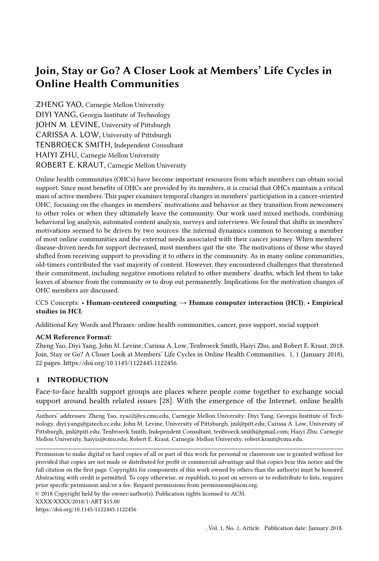Join, Stay or Go? A Closer Look at Members' Life Cycles in Online Health Communities 19

provides a relatively holistic view of members' experiences in OHCs. Most of the prior work that studied members' journeys in OHCs relied either on quantitative methods, analyzing log data (e.g.,  $[2]$ ), or qualitative ones relying on interviews and surveys (e. $\mathcal{Q}4J$ ), and thus were often only able to focus on either changes in OHC members' observable behavior or changes in their self-reported motivations. Our work leverages both self-reported data including surveys and interviews, and behavioral data, which allows us to examine changes in OHC members' motivation (i.e., what they thought) and behavior (i.e., what they did) as they stayed longer in the community. These analyses used retrospective interviews in which participants reected on their experiences at dierent times, and one-time surveys to compare old-timers with shorter-tenured members and longitudinal data, including behavioral logs to examine how individual members' motivation and behavior changed over time.

# 6 DESIGN IMPLICATIONS

Our work conrms previous research showing that a small subset of a community provides most of the contributions and that in OHCs, their participation pattern shifts from seeking support to providing it. Despite the importance of these core old-timers in keeping the community alive, most features of OHCs are aimed at the process of providing disease support. We echo prior research such as  $\sharp$ 1, as we urge for more targeted designs for members in dierent stages of their OHC journey, speci cally to support the unique needs of the old-timers.

Designers of OHCs could highlight thread-starting posts that are seeking support in their areas of expertise, thus making it easier for them to help others needing their experience. They could also consider implementing a badge system, which could visualize the expertise and status of an old-timer. Not only would such a badge system serve to better match support seekers with support providers, but it is also likely to encourage providers to oer more support, either to fulll explicit roles or to gain reputation in the community.

In addition, we suggest providing some degree of training to old-timers to help them be more e ective support providers, to forewarn them about potential risks of participation and to provide them with strategies to better cope with the stress and anxiety brought about through participation. As discussed previously, old-timers behave dierently than people who will drop out, even in the rst month of participation. Thus, it should be possible to identify these potential backbone members shortly after they join the community. This early identi cation would allow community managers to take steps to retain and develop them. Practices in other types of online communities (e.g.,  $[27, 30]$ ) have demonstrated benets of doing so. 7Cups.com [  $a$  community for the exchange of mental health support, o ers training to volunteers but does no Itering to identify candidates who are likely to be heavy contributors to the community. Similar training programs have been implemented in o ine settings. For example, Legg et 20 flesigned a 2-day training course that covered psychological aspects of the cancer journey, role requirements of a support volunteer, and eective interpersonal skills to utilize in the peer support setting. Training modules like these could potentially benet old-timers in online support groups such as CSN.

Finally, our research identi ed a dilemma faced by the core old-timers of CSN, who are both capable and willing to help, but faced emotional challenges that led some to drop out of further participation. One way to encourage participation from old-timers who have taken a hiatus is to remind community members who registered earlier to brie y come back and engage lightly with the community. While such encouragement could certainly be implemented via a formal email invitation, designers of OHCs could also consider making banners or initiating threads that list the advantages of old-timers checking-in, so that members are aware of the benets a orded by their actions. An intervention like this would enhance a practice we noticed in the community, in which people provide anniversary updates about their health. These announcements, usually one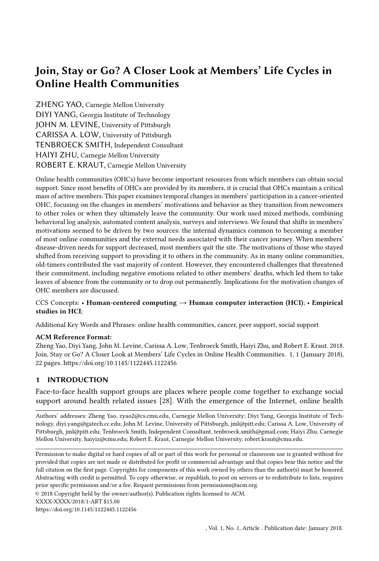year or ve years from a patient's treatment time, are a way to inform fellow members of one's health status as well as a way to o er hope to other members of the community. For example, P16, who had not logged into CSN for the three months before his interview said that that he would probably make a post on his one-year anniversary day: So, I thought that I would be make a post, you know, in another month or so, my one year anniversary and say, I'm cured and, I'm back to normal. And, you know, if I can go through with it, you can do that type of thing mbers reported feeling hopeful after seeing examples of old-timers being cured and thus were able to make upward social comparisons. Sharing celebratory updates is a relatively low-eort contribution from the old-timers that does not involve too much exposure to emotionally-laden content such as reading and responding to other members' posts. Nor does it require a lot of commitment and time. Nevertheless, this type of check-in action could greatly benet other members and the broader community, and may encourage old-timers to reengage with the community.

# 7 LIMITATIONS

Our work has several limitations. First, we only focus on one specic online community focused on cancer, so we cannot necessarily generalize ndings to other OHCs without further investigation. In particular, cancer is a deadly disease with severe life-threatening consequences. We expect members in other types of OHCs, such as those for mental illness, weight-loss or parenting, to face slightly dierent challenges. Second, our interview and survey methods introduced a selection bias. As shown in Table 1, both interviewees and survey respondents participated in CSN longer than a modal CSN user and thus are likely to be more motivated. Moreover, since 95% of our interviewees were old-timers, the interviews were only able to investigate members' experiences as newcomers in a retrospective way. This data provides no rst-hand, contemporaneous accounts from newcomers or those who dropped out earlier from OHCs. However, we believe the sampling bias is mitigated in our study. In particular, our analysis using the behavioral log data, which covers all CSN members, con rmed many of the conclusions drawn from the survey and interview data. The behavioral log data provided a view of the comprehensive landscape of the community before jumping to a more motivated sub-population.

# 8 CONCLUSION

Our work investigated how members of the CSN, an OHC dedicated to cancer patients and caregivers, evolve as they stay longer on the site. Combining data from interviews, surveys, behavioral log analysis and automated content analysis, we provide a relatively holistic view of members' OHC journeys, with both their online community journey and cancer journey considered. Our results indicated that members joined OHCs primarily from self interest and quickly left as their needs were met. As in many other online communities, a small group of old-timers continued to participate over an extended period with their motivation shifting from receiving support to providing it to others. This minority group of members is responsible for the majority of the interactions in OHCs, but face signi cant challenges including reading about the deaths of fellow members during their extended participation period.

# ACKNOWLEDGMENTS

We would like to thank Bahar Haji-Sheikhi for her support in collecting the data, Kristi Richardson and Hillary Grice for providing feedback and facilitating participant recruitment, and Dr. Ge Gao for providing feedback to the manuscript. Finally, we would like to thank all our interviewees for their insights. This work was supported by National Institute of Mental Health (NIMH) under reward R21 MH106880 01, as well as the National Science Foundation (NSF) under Award No. IIS-0968485, IIS-2001851, IIS-2000782, and CNS-1952085.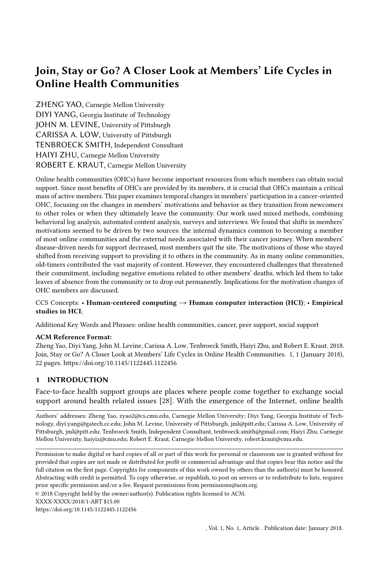# Join, Stay or Go? A Closer Look at Members' Life Cycles in Online Health Communities 21

#### **REFERENCES**

- [1] Anna N Baglione, Maxine M Girard, Meagan Price, James Clawson, and Patrick C Shih. 2018. Modern bereavement: a model for complicated grief in the digital age. Proceedings of the 2018 CHI Conference on Human Factors in Computing Systems1 12.
- [2] Arnold B Bakker, Karen I Van Der Zee, Kerry A Lewig, and Maureen F Dollard. 2006. The relationship between the big ve personality factors and burnout: A study among volunteer counselors. Journal of social psychology6, 1 (2006), 3150.
- [3] Martina Balestra, Coye Cheshire, Ofer Arazy, and Oded Nov. 2017. Investigating the motivational paths of peer production newcomers. InProceedings of the 2017 CHI Conference on Human Factors in Computing SOSMems 63816385.
- [4] Antonina Bambina. 2007 Online social support: the interplay of social networks and computer-mediated communication Cambria press.
- [5] Susan L. Bryant, Andrea Forte, and Amy Bruckman. 2005 coming Wikipedian: transformation of participation in a collaborative online encycloped&CM Press, New York, 1 10.
- [6] Maxine Capner and Marie Louise Caltabiano. 1993. Factors aecting the progression towards burnout: A comparison of professional and volunteer counsellorssychological Reports, 2 (1993), 555 561.
- [7] Katherine Y Chuang and Christopher C Yang. 2010. Helping you to help me: exploring supportive interaction in online health community. InProceedings of the 73rd ASIS&T Annual Meeting on Navigating Streams in an Information Ecosystem-Volume. 47 Therican Society for Information Science, 9.
- [8] Jordan Eschler, Zakariya Dehlawi, and Wanda Pratt. [n. d.]. Self-characterized illness phase and information needs of participants in an online cancer forum. INinth International AAAI Conference on Web and Social Media
- [9] E. A. Fallon, D. Driscoll, T.S. Smith, K. Richardson, and K. Portier. 2018. Description, characterization, and evaluation of an online social networking community: the American Cancer Society's Cancer Survivors Network and of Cancer Survivorship2, 5 (01 Oct 2018), 691 701. https://doi.org/10.1007/s11764-018-0706-8
- [10] Gillian R Hayes, Gregory D Abowd, John S Davis, Marion L Blount, Maria Ebling, and Elizabeth D Mynatt. 2008. Opportunities for pervasive computing in chronic cancer care International Conference on Pervasive Computing Springer, 262 279.
- [11] Kevin O Hwang, Allison J Ottenbacher, Angela P Green, M Roseann Cannon-Diehl, Oneka Richardson, Elmer V Bernstam, and Eric J Thomas. 2010. Social support in an Internet weight loss communtetynational journal of medical informatic<sup>3</sup>9, 1 (2010), 5 13.
- [12] Joshua Introne, Bryan Semaan, and Sean Goggins. 2016. A sociotechnical mechanism for online support provision. In Proceedings of the 2016 CHI Conference on Human Factors in Computing & Gast \$69 3571.
- [13] Maia Jacobs, James Clawson, and Elizabeth D Mynatt. 2016. A cancer journey framework: guiding the design of holistic health technology. InProceedings of the 10th EAI International Conference on Pervasive Computing Technologies for HealthcarelCST (Institute for Computer Sciences, Social Informatics and Telecommunications Engineering), 114 121.
- [14] Maia L Jacobs, James Clawson, and Elizabeth D Mynatt. 2014. My journey compass: a preliminary investigation of a mobile tool for cancer patients. IRroceedings of the SIGCHI Conference on Human Factors in Computing SQ Mems 663672.
- [15] Allen C Johnston, James L Worrell, Paul M Di Gangi, and Molly Wasko. 2013. Online health commulmitiers aation Technology & Peop(2013).
- [16] Brian Keegan, Darren Gergle, and Noshir Contractor. 2011. Hot o the wiki: dynamics, practices, and structures in Wikipedia's coverage of the dhoku catastrophes. InProceedings of the 7th international symposium on Wikis and open collaborationACM, 105 113.
- [17] Robert E Kraut and Paul Resnick. 20 Baulding successful online communities: Evidence-based social Mets Ruess.
- [18] Cli Lampe, Nicole B Ellison, and Charles Stein eld. 2008. Changes in use and perception of Facebook deadings of the 2008 ACM conference on Computer supported cooperative CMotr K21 730.
- [19] Carolyn Lauckner and Gary Hsieh. 2013. The presentation of health-related search results and its impact on negative emotional outcomes. InProceedings of the SIGCHI Conference on Human Factors in Computing & Caste 633 342.
- [20] Melissa Legg, S Occhipinti, M Ferguson, J Dunn, and SK Chambers. 2011. When peer support may be most bene cial: The relationship between upward comparison and perceived threatycho-Oncology0, 12 (2011), 1358 1362.
- [21] Louise Locock and Janice B Brown. 2010. 'All in the same boat'? Patient and carer attitudes to peer support and social comparison in motor neurone disease (MND ocial science & medicine, 8 (2010), 1498 1505.
- [22] Haiwei Ma, C Smith, Lu He, Saumik Narayanan, Robert A Giaquinto, Roni Evans, Linda Hanson, and Svetlana Yarosh. 2017. Write for Life: Persisting in Online Health Communities Through Expressive Writing and Social Support. Proceedings of the ACM on Human-Computer Interaction 1, 2017), 73.
- [23] L. Markus. 1987. Towards a "critical mass" theory of interactive media: Universal access, interdependence, and di usion. Communication Researth (1987), 491 511.